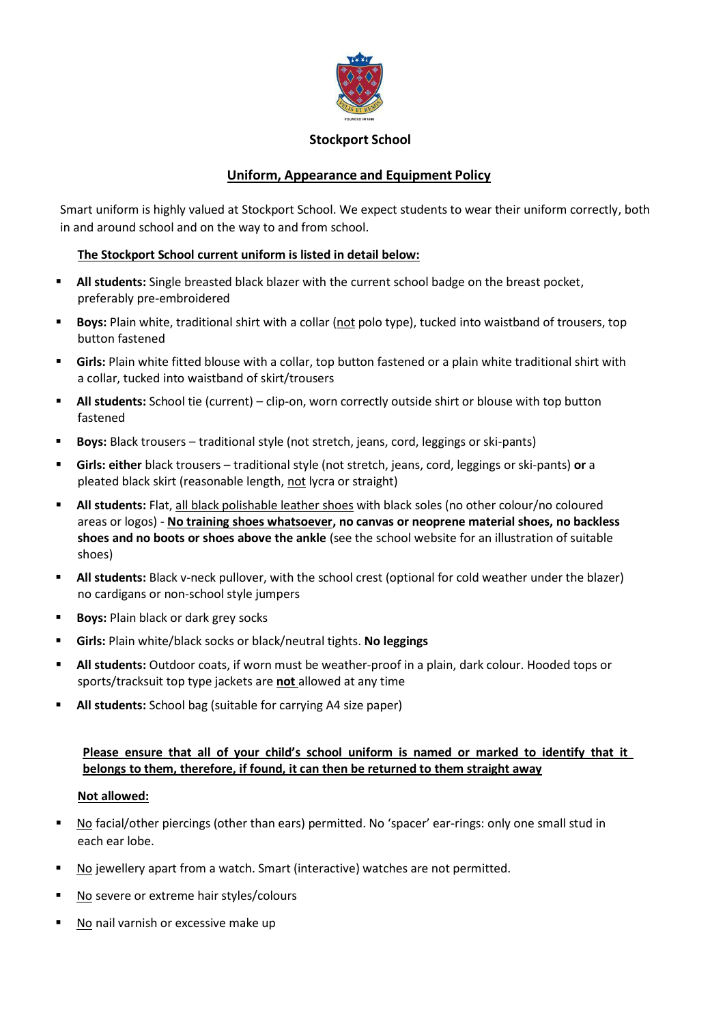

#### **Stockport School**

# **Uniform, Appearance and Equipment Policy**

Smart uniform is highly valued at Stockport School. We expect students to wear their uniform correctly, both in and around school and on the way to and from school.

#### **The Stockport School current uniform is listed in detail below:**

- **All students:** Single breasted black blazer with the current school badge on the breast pocket, preferably pre-embroidered
- **Boys:** Plain white, traditional shirt with a collar (not polo type), tucked into waistband of trousers, top button fastened
- **Girls:** Plain white fitted blouse with a collar, top button fastened or a plain white traditional shirt with a collar, tucked into waistband of skirt/trousers
- **All students:** School tie (current) clip-on, worn correctly outside shirt or blouse with top button fastened
- **Boys:** Black trousers traditional style (not stretch, jeans, cord, leggings or ski-pants)
- **Girls: either** black trousers traditional style (not stretch, jeans, cord, leggings orski-pants) **or** a pleated black skirt (reasonable length, not lycra or straight)
- **All students:** Flat, all black polishable leather shoes with black soles (no other colour/no coloured areas or logos) - **No training shoes whatsoever, no canvas or neoprene material shoes, no backless shoes and no boots or shoes above the ankle** (see the school website for an illustration of suitable shoes)
- **All students:** Black v-neck pullover, with the school crest (optional for cold weather under the blazer) no cardigans or non-school style jumpers
- **Boys:** Plain black or dark grey socks
- **Girls:** Plain white/black socks or black/neutral tights. **No leggings**
- **All students:** Outdoor coats, if worn must be weather-proof in a plain, dark colour. Hooded tops or sports/tracksuit top type jackets are **not** allowed at any time
- **All students:** School bag (suitable for carrying A4 size paper)

### **Please ensure that all of your child's school uniform is named or marked to identify that it belongs to them, therefore, if found, it can then be returned to them straight away**

#### **Not allowed:**

- No facial/other piercings (other than ears) permitted. No 'spacer' ear-rings: only one small stud in each ear lobe.
- No jewellery apart from a watch. Smart (interactive) watches are not permitted.
- No severe or extreme hair styles/colours
- No nail varnish or excessive make up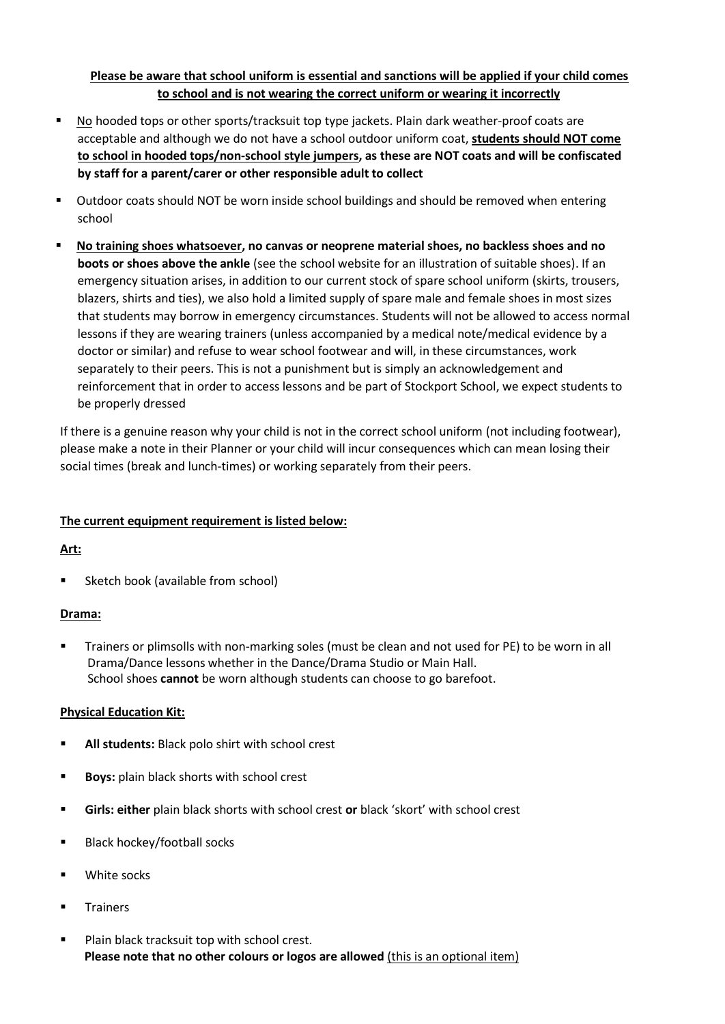## **Please be aware that school uniform is essential and sanctions will be applied if your child comes to school and is not wearing the correct uniform or wearing it incorrectly**

- No hooded tops or other sports/tracksuit top type jackets. Plain dark weather-proof coats are acceptable and although we do not have a school outdoor uniform coat, **students should NOT come to school in hooded tops/non-school style jumpers, as these are NOT coats and will be confiscated by staff for a parent/carer or other responsible adult to collect**
- **Dutdoor coats should NOT be worn inside school buildings and should be removed when entering** school
- **No training shoes whatsoever, no canvas or neoprene material shoes, no backless shoes and no boots or shoes above the ankle** (see the school website for an illustration of suitable shoes). If an emergency situation arises, in addition to our current stock of spare school uniform (skirts, trousers, blazers, shirts and ties), we also hold a limited supply of spare male and female shoes in most sizes that students may borrow in emergency circumstances. Students will not be allowed to access normal lessons if they are wearing trainers (unless accompanied by a medical note/medical evidence by a doctor or similar) and refuse to wear school footwear and will, in these circumstances, work separately to their peers. This is not a punishment but is simply an acknowledgement and reinforcement that in order to access lessons and be part of Stockport School, we expect students to be properly dressed

If there is a genuine reason why your child is not in the correct school uniform (not including footwear), please make a note in their Planner or your child will incur consequences which can mean losing their social times (break and lunch-times) or working separately from their peers.

### **The current equipment requirement is listed below:**

### **Art:**

Sketch book (available from school)

### **Drama:**

 Trainers or plimsolls with non-marking soles (must be clean and not used for PE) to be worn in all Drama/Dance lessons whether in the Dance/Drama Studio or Main Hall. School shoes **cannot** be worn although students can choose to go barefoot.

### **Physical Education Kit:**

- **All students:** Black polo shirt with school crest
- **Boys:** plain black shorts with school crest
- **Girls: either** plain black shorts with school crest **or** black 'skort' with school crest
- **Black hockey/football socks**
- White socks
- **Trainers**
- **Plain black tracksuit top with school crest. Please note that no other colours or logos are allowed** (this is an optional item)